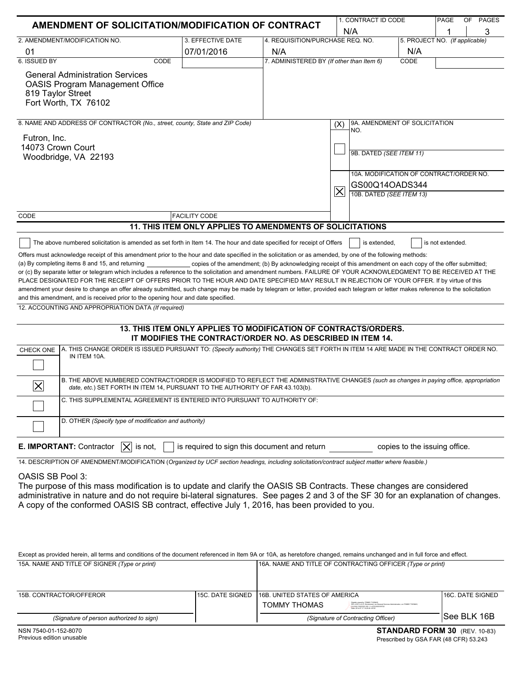| AMENDMENT OF SOLICITATION/MODIFICATION OF CONTRACT |                                                                                                                                                                                                                                                                                                                                                                                                                                                                                                                                                                                                                                                                                                                                                                                                                                                                 |                   |                                                                                                                                |                                           |                     | 1. CONTRACT ID CODE                                       |                                |                  | OF | <b>PAGES</b> |
|----------------------------------------------------|-----------------------------------------------------------------------------------------------------------------------------------------------------------------------------------------------------------------------------------------------------------------------------------------------------------------------------------------------------------------------------------------------------------------------------------------------------------------------------------------------------------------------------------------------------------------------------------------------------------------------------------------------------------------------------------------------------------------------------------------------------------------------------------------------------------------------------------------------------------------|-------------------|--------------------------------------------------------------------------------------------------------------------------------|-------------------------------------------|---------------------|-----------------------------------------------------------|--------------------------------|------------------|----|--------------|
|                                                    | N/A                                                                                                                                                                                                                                                                                                                                                                                                                                                                                                                                                                                                                                                                                                                                                                                                                                                             |                   |                                                                                                                                |                                           |                     |                                                           |                                |                  |    | 3            |
|                                                    | 2. AMENDMENT/MODIFICATION NO.                                                                                                                                                                                                                                                                                                                                                                                                                                                                                                                                                                                                                                                                                                                                                                                                                                   |                   | 3. EFFECTIVE DATE                                                                                                              | 4. REQUISITION/PURCHASE REQ. NO.          |                     |                                                           | 5. PROJECT NO. (If applicable) |                  |    |              |
| 01                                                 |                                                                                                                                                                                                                                                                                                                                                                                                                                                                                                                                                                                                                                                                                                                                                                                                                                                                 | 07/01/2016<br>N/A |                                                                                                                                |                                           |                     |                                                           | N/A                            |                  |    |              |
| 6. ISSUED BY                                       |                                                                                                                                                                                                                                                                                                                                                                                                                                                                                                                                                                                                                                                                                                                                                                                                                                                                 | CODE              |                                                                                                                                | 7. ADMINISTERED BY (If other than Item 6) |                     |                                                           | CODE                           |                  |    |              |
| 819 Taylor Street                                  | <b>General Administration Services</b><br><b>OASIS Program Management Office</b><br>Fort Worth, TX 76102                                                                                                                                                                                                                                                                                                                                                                                                                                                                                                                                                                                                                                                                                                                                                        |                   |                                                                                                                                |                                           |                     |                                                           |                                |                  |    |              |
|                                                    | 8. NAME AND ADDRESS OF CONTRACTOR (No., street, county, State and ZIP Code)                                                                                                                                                                                                                                                                                                                                                                                                                                                                                                                                                                                                                                                                                                                                                                                     |                   |                                                                                                                                |                                           | (X)                 | 9A. AMENDMENT OF SOLICITATION                             |                                |                  |    |              |
| Futron, Inc.                                       |                                                                                                                                                                                                                                                                                                                                                                                                                                                                                                                                                                                                                                                                                                                                                                                                                                                                 |                   |                                                                                                                                |                                           |                     | NO.                                                       |                                |                  |    |              |
| 14073 Crown Court                                  |                                                                                                                                                                                                                                                                                                                                                                                                                                                                                                                                                                                                                                                                                                                                                                                                                                                                 |                   |                                                                                                                                |                                           |                     |                                                           |                                |                  |    |              |
|                                                    | Woodbridge, VA 22193                                                                                                                                                                                                                                                                                                                                                                                                                                                                                                                                                                                                                                                                                                                                                                                                                                            |                   |                                                                                                                                |                                           |                     | 9B. DATED (SEE ITEM 11)                                   |                                |                  |    |              |
|                                                    |                                                                                                                                                                                                                                                                                                                                                                                                                                                                                                                                                                                                                                                                                                                                                                                                                                                                 |                   |                                                                                                                                |                                           |                     |                                                           |                                |                  |    |              |
|                                                    |                                                                                                                                                                                                                                                                                                                                                                                                                                                                                                                                                                                                                                                                                                                                                                                                                                                                 |                   |                                                                                                                                |                                           |                     | 10A. MODIFICATION OF CONTRACT/ORDER NO.<br>GS00Q14OADS344 |                                |                  |    |              |
|                                                    |                                                                                                                                                                                                                                                                                                                                                                                                                                                                                                                                                                                                                                                                                                                                                                                                                                                                 |                   |                                                                                                                                |                                           | $\overline{\times}$ | 10B. DATED (SEE ITEM 13)                                  |                                |                  |    |              |
|                                                    |                                                                                                                                                                                                                                                                                                                                                                                                                                                                                                                                                                                                                                                                                                                                                                                                                                                                 |                   |                                                                                                                                |                                           |                     |                                                           |                                |                  |    |              |
| CODE                                               |                                                                                                                                                                                                                                                                                                                                                                                                                                                                                                                                                                                                                                                                                                                                                                                                                                                                 |                   | <b>FACILITY CODE</b>                                                                                                           |                                           |                     |                                                           |                                |                  |    |              |
|                                                    |                                                                                                                                                                                                                                                                                                                                                                                                                                                                                                                                                                                                                                                                                                                                                                                                                                                                 |                   | 11. THIS ITEM ONLY APPLIES TO AMENDMENTS OF SOLICITATIONS                                                                      |                                           |                     |                                                           |                                |                  |    |              |
|                                                    | The above numbered solicitation is amended as set forth in Item 14. The hour and date specified for receipt of Offers                                                                                                                                                                                                                                                                                                                                                                                                                                                                                                                                                                                                                                                                                                                                           |                   |                                                                                                                                |                                           |                     | is extended.                                              |                                | is not extended. |    |              |
|                                                    | Offers must acknowledge receipt of this amendment prior to the hour and date specified in the solicitation or as amended, by one of the following methods:<br>(a) By completing items 8 and 15, and returning<br>or (c) By separate letter or telegram which includes a reference to the solicitation and amendment numbers. FAILURE OF YOUR ACKNOWLEDGMENT TO BE RECEIVED AT THE<br>PLACE DESIGNATED FOR THE RECEIPT OF OFFERS PRIOR TO THE HOUR AND DATE SPECIFIED MAY RESULT IN REJECTION OF YOUR OFFER. If by virtue of this<br>amendment your desire to change an offer already submitted, such change may be made by telegram or letter, provided each telegram or letter makes reference to the solicitation<br>and this amendment, and is received prior to the opening hour and date specified.<br>12. ACCOUNTING AND APPROPRIATION DATA (If required) |                   | copies of the amendment; (b) By acknowledging receipt of this amendment on each copy of the offer submitted;                   |                                           |                     |                                                           |                                |                  |    |              |
|                                                    |                                                                                                                                                                                                                                                                                                                                                                                                                                                                                                                                                                                                                                                                                                                                                                                                                                                                 |                   | 13. THIS ITEM ONLY APPLIES TO MODIFICATION OF CONTRACTS/ORDERS.<br>IT MODIFIES THE CONTRACT/ORDER NO. AS DESCRIBED IN ITEM 14. |                                           |                     |                                                           |                                |                  |    |              |
| <b>CHECK ONE</b>                                   | A. THIS CHANGE ORDER IS ISSUED PURSUANT TO: (Specify authority) THE CHANGES SET FORTH IN ITEM 14 ARE MADE IN THE CONTRACT ORDER NO.<br>IN ITEM 10A.                                                                                                                                                                                                                                                                                                                                                                                                                                                                                                                                                                                                                                                                                                             |                   |                                                                                                                                |                                           |                     |                                                           |                                |                  |    |              |
| $\mathsf{\times}$                                  | B. THE ABOVE NUMBERED CONTRACT/ORDER IS MODIFIED TO REFLECT THE ADMINISTRATIVE CHANGES (such as changes in paying office, appropriation                                                                                                                                                                                                                                                                                                                                                                                                                                                                                                                                                                                                                                                                                                                         |                   | date, etc.) SET FORTH IN ITEM 14, PURSUANT TO THE AUTHORITY OF FAR 43.103(b).                                                  |                                           |                     |                                                           |                                |                  |    |              |
|                                                    | C. THIS SUPPLEMENTAL AGREEMENT IS ENTERED INTO PURSUANT TO AUTHORITY OF:                                                                                                                                                                                                                                                                                                                                                                                                                                                                                                                                                                                                                                                                                                                                                                                        |                   |                                                                                                                                |                                           |                     |                                                           |                                |                  |    |              |
|                                                    | D. OTHER (Specify type of modification and authority)                                                                                                                                                                                                                                                                                                                                                                                                                                                                                                                                                                                                                                                                                                                                                                                                           |                   |                                                                                                                                |                                           |                     |                                                           |                                |                  |    |              |
|                                                    | E. IMPORTANT: Contractor<br>$ \mathsf{X} $ is not,                                                                                                                                                                                                                                                                                                                                                                                                                                                                                                                                                                                                                                                                                                                                                                                                              |                   | is required to sign this document and return                                                                                   |                                           |                     |                                                           | copies to the issuing office.  |                  |    |              |
|                                                    | 14. DESCRIPTION OF AMENDMENT/MODIFICATION (Organized by UCF section headings, including solicitation/contract subject matter where feasible.)                                                                                                                                                                                                                                                                                                                                                                                                                                                                                                                                                                                                                                                                                                                   |                   |                                                                                                                                |                                           |                     |                                                           |                                |                  |    |              |
| OASIS SB Pool 3:                                   | The purpose of this mass modification is to update and clarify the OASIS SB Contracts. These changes are considered<br>administrative in nature and do not require bi-lateral signatures. See pages 2 and 3 of the SF 30 for an explanation of changes.<br>A copy of the conformed OASIS SB contract, effective July 1, 2016, has been provided to you.                                                                                                                                                                                                                                                                                                                                                                                                                                                                                                         |                   |                                                                                                                                |                                           |                     |                                                           |                                |                  |    |              |
|                                                    | Except as provided herein, all terms and conditions of the document referenced in Item 9A or 10A, as heretofore changed, remains unchanged and in full force and effect.                                                                                                                                                                                                                                                                                                                                                                                                                                                                                                                                                                                                                                                                                        |                   |                                                                                                                                |                                           |                     |                                                           |                                |                  |    |              |

| 15A. NAME AND TITLE OF SIGNER (Type or print) | 16A. NAME AND TITLE OF CONTRACTING OFFICER (Type or print) |                                                                                                                                                                                             |                   |  |  |
|-----------------------------------------------|------------------------------------------------------------|---------------------------------------------------------------------------------------------------------------------------------------------------------------------------------------------|-------------------|--|--|
|                                               |                                                            |                                                                                                                                                                                             |                   |  |  |
| 15B. CONTRACTOR/OFFEROR                       | 115C. DATE SIGNED 116B. UNITED STATES OF AMERICA           |                                                                                                                                                                                             | 116C. DATE SIGNED |  |  |
|                                               | <b>TOMMY THOMAS</b>                                        | Digitally signed by TOMMY THOMAS<br>DN: cell S. cell S. Government, currilleneral Senious Administration, conTOMMY THOMA<br>21000000 1001 14470010000307<br>Tele: 3014 07 17 10:30:36 JATOC |                   |  |  |
| (Signature of person authorized to sign)      | (Signature of Contracting Officer)                         |                                                                                                                                                                                             | ISee BLK 16B      |  |  |